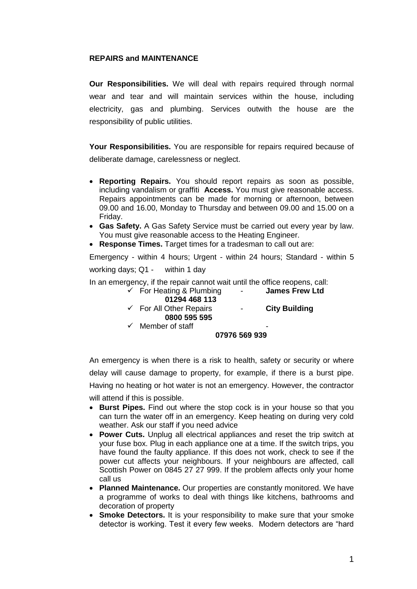## **REPAIRS and MAINTENANCE**

**Our Responsibilities.** We will deal with repairs required through normal wear and tear and will maintain services within the house, including electricity, gas and plumbing. Services outwith the house are the responsibility of public utilities.

**Your Responsibilities.** You are responsible for repairs required because of deliberate damage, carelessness or neglect.

- **Reporting Repairs.** You should report repairs as soon as possible, including vandalism or graffiti **Access.** You must give reasonable access. Repairs appointments can be made for morning or afternoon, between 09.00 and 16.00, Monday to Thursday and between 09.00 and 15.00 on a Friday.
- **Gas Safety.** A Gas Safety Service must be carried out every year by law. You must give reasonable access to the Heating Engineer.
- **Response Times.** Target times for a tradesman to call out are:

Emergency - within 4 hours; Urgent - within 24 hours; Standard - within 5 working days; Q1 - within 1 day

In an emergency, if the repair cannot wait until the office reopens, call:

| $\checkmark$ For Heating & Plumbing | $\sim$ 100 $\mu$ | <b>James Frew Ltd</b> |
|-------------------------------------|------------------|-----------------------|
| 01294 468 113                       |                  |                       |
| $\checkmark$ For All Other Repairs  |                  | <b>City Building</b>  |
| 0800 595 595                        |                  |                       |
| $\checkmark$ Member of staff        |                  |                       |
|                                     | 07976 569 939    |                       |

An emergency is when there is a risk to health, safety or security or where delay will cause damage to property, for example, if there is a burst pipe. Having no heating or hot water is not an emergency. However, the contractor will attend if this is possible.

- **Burst Pipes.** Find out where the stop cock is in your house so that you can turn the water off in an emergency. Keep heating on during very cold weather. Ask our staff if you need advice
- **Power Cuts.** Unplug all electrical appliances and reset the trip switch at your fuse box. Plug in each appliance one at a time. If the switch trips, you have found the faulty appliance. If this does not work, check to see if the power cut affects your neighbours. If your neighbours are affected, call Scottish Power on 0845 27 27 999. If the problem affects only your home call us
- **Planned Maintenance.** Our properties are constantly monitored. We have a programme of works to deal with things like kitchens, bathrooms and decoration of property
- **Smoke Detectors.** It is your responsibility to make sure that your smoke detector is working. Test it every few weeks. Modern detectors are "hard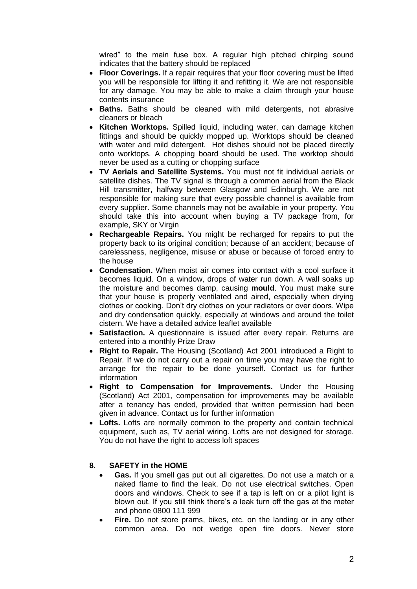wired" to the main fuse box. A regular high pitched chirping sound indicates that the battery should be replaced

- **Floor Coverings.** If a repair requires that your floor covering must be lifted you will be responsible for lifting it and refitting it. We are not responsible for any damage. You may be able to make a claim through your house contents insurance
- **Baths.** Baths should be cleaned with mild detergents, not abrasive cleaners or bleach
- **Kitchen Worktops.** Spilled liquid, including water, can damage kitchen fittings and should be quickly mopped up. Worktops should be cleaned with water and mild detergent. Hot dishes should not be placed directly onto worktops. A chopping board should be used. The worktop should never be used as a cutting or chopping surface
- **TV Aerials and Satellite Systems.** You must not fit individual aerials or satellite dishes. The TV signal is through a common aerial from the Black Hill transmitter, halfway between Glasgow and Edinburgh. We are not responsible for making sure that every possible channel is available from every supplier. Some channels may not be available in your property. You should take this into account when buying a TV package from, for example, SKY or Virgin
- **Rechargeable Repairs.** You might be recharged for repairs to put the property back to its original condition; because of an accident; because of carelessness, negligence, misuse or abuse or because of forced entry to the house
- **Condensation.** When moist air comes into contact with a cool surface it becomes liquid. On a window, drops of water run down. A wall soaks up the moisture and becomes damp, causing **mould**. You must make sure that your house is properly ventilated and aired, especially when drying clothes or cooking. Don't dry clothes on your radiators or over doors. Wipe and dry condensation quickly, especially at windows and around the toilet cistern. We have a detailed advice leaflet available
- **Satisfaction.** A questionnaire is issued after every repair. Returns are entered into a monthly Prize Draw
- **Right to Repair.** The Housing (Scotland) Act 2001 introduced a Right to Repair. If we do not carry out a repair on time you may have the right to arrange for the repair to be done yourself. Contact us for further information
- **Right to Compensation for Improvements.** Under the Housing (Scotland) Act 2001, compensation for improvements may be available after a tenancy has ended, provided that written permission had been given in advance. Contact us for further information
- Lofts. Lofts are normally common to the property and contain technical equipment, such as, TV aerial wiring. Lofts are not designed for storage. You do not have the right to access loft spaces

## **8. SAFETY in the HOME**

- **Gas.** If you smell gas put out all cigarettes. Do not use a match or a naked flame to find the leak. Do not use electrical switches. Open doors and windows. Check to see if a tap is left on or a pilot light is blown out. If you still think there's a leak turn off the gas at the meter and phone 0800 111 999
- **Fire.** Do not store prams, bikes, etc. on the landing or in any other common area. Do not wedge open fire doors. Never store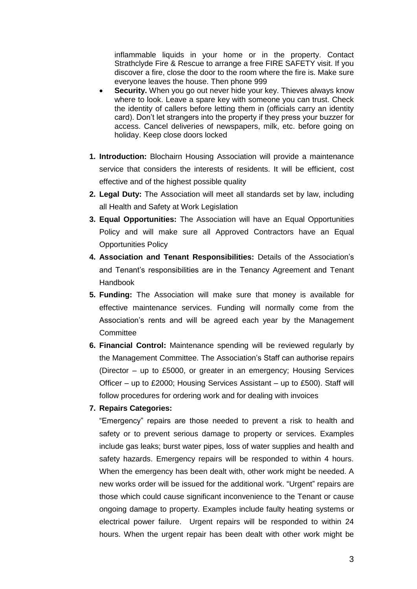inflammable liquids in your home or in the property. Contact Strathclyde Fire & Rescue to arrange a free FIRE SAFETY visit. If you discover a fire, close the door to the room where the fire is. Make sure everyone leaves the house. Then phone 999

- **Security.** When you go out never hide your key. Thieves always know where to look. Leave a spare key with someone you can trust. Check the identity of callers before letting them in (officials carry an identity card). Don't let strangers into the property if they press your buzzer for access. Cancel deliveries of newspapers, milk, etc. before going on holiday. Keep close doors locked
- **1. Introduction:** Blochairn Housing Association will provide a maintenance service that considers the interests of residents. It will be efficient, cost effective and of the highest possible quality
- **2. Legal Duty:** The Association will meet all standards set by law, including all Health and Safety at Work Legislation
- **3. Equal Opportunities:** The Association will have an Equal Opportunities Policy and will make sure all Approved Contractors have an Equal Opportunities Policy
- **4. Association and Tenant Responsibilities:** Details of the Association's and Tenant's responsibilities are in the Tenancy Agreement and Tenant Handbook
- **5. Funding:** The Association will make sure that money is available for effective maintenance services. Funding will normally come from the Association's rents and will be agreed each year by the Management **Committee**
- **6. Financial Control:** Maintenance spending will be reviewed regularly by the Management Committee. The Association's Staff can authorise repairs (Director – up to £5000, or greater in an emergency; Housing Services Officer – up to £2000; Housing Services Assistant – up to £500). Staff will follow procedures for ordering work and for dealing with invoices
- **7. Repairs Categories:**

"Emergency" repairs are those needed to prevent a risk to health and safety or to prevent serious damage to property or services. Examples include gas leaks; burst water pipes, loss of water supplies and health and safety hazards. Emergency repairs will be responded to within 4 hours. When the emergency has been dealt with, other work might be needed. A new works order will be issued for the additional work. "Urgent" repairs are those which could cause significant inconvenience to the Tenant or cause ongoing damage to property. Examples include faulty heating systems or electrical power failure. Urgent repairs will be responded to within 24 hours. When the urgent repair has been dealt with other work might be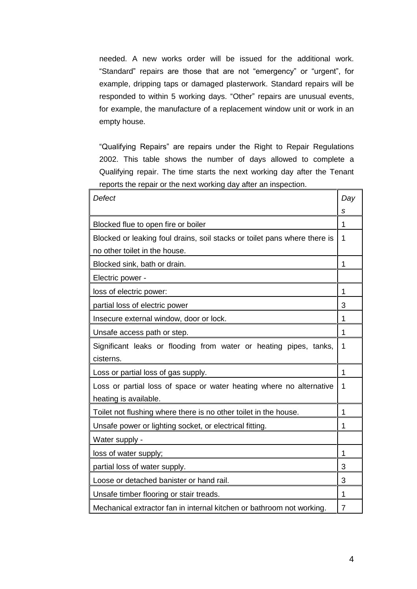needed. A new works order will be issued for the additional work. "Standard" repairs are those that are not "emergency" or "urgent", for example, dripping taps or damaged plasterwork. Standard repairs will be responded to within 5 working days. "Other" repairs are unusual events, for example, the manufacture of a replacement window unit or work in an empty house.

"Qualifying Repairs" are repairs under the Right to Repair Regulations 2002. This table shows the number of days allowed to complete a Qualifying repair. The time starts the next working day after the Tenant reports the repair or the next working day after an inspection.

| <b>Defect</b>                                                             |   |  |
|---------------------------------------------------------------------------|---|--|
|                                                                           | s |  |
| Blocked flue to open fire or boiler                                       | 1 |  |
| Blocked or leaking foul drains, soil stacks or toilet pans where there is |   |  |
| no other toilet in the house.                                             |   |  |
| Blocked sink, bath or drain.                                              | 1 |  |
| Electric power -                                                          |   |  |
| loss of electric power:                                                   |   |  |
| partial loss of electric power                                            |   |  |
| Insecure external window, door or lock.                                   |   |  |
| Unsafe access path or step.                                               |   |  |
| Significant leaks or flooding from water or heating pipes, tanks,         |   |  |
| cisterns.                                                                 |   |  |
| Loss or partial loss of gas supply.                                       | 1 |  |
| Loss or partial loss of space or water heating where no alternative       |   |  |
| heating is available.                                                     |   |  |
| Toilet not flushing where there is no other toilet in the house.          | 1 |  |
| Unsafe power or lighting socket, or electrical fitting.                   |   |  |
| Water supply -                                                            |   |  |
| loss of water supply;                                                     |   |  |
| partial loss of water supply.                                             | 3 |  |
| Loose or detached banister or hand rail.                                  | 3 |  |
| Unsafe timber flooring or stair treads.                                   |   |  |
| Mechanical extractor fan in internal kitchen or bathroom not working.     |   |  |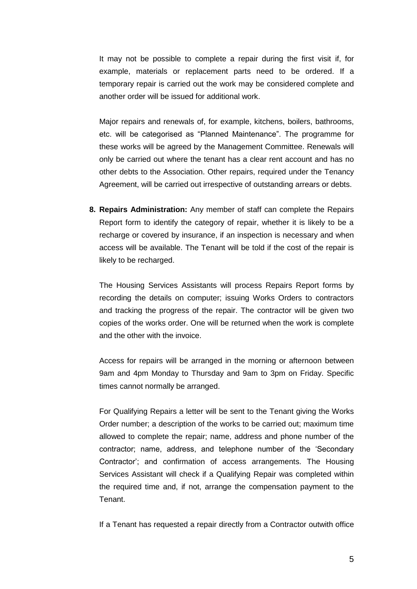It may not be possible to complete a repair during the first visit if, for example, materials or replacement parts need to be ordered. If a temporary repair is carried out the work may be considered complete and another order will be issued for additional work.

Major repairs and renewals of, for example, kitchens, boilers, bathrooms, etc. will be categorised as "Planned Maintenance". The programme for these works will be agreed by the Management Committee. Renewals will only be carried out where the tenant has a clear rent account and has no other debts to the Association. Other repairs, required under the Tenancy Agreement, will be carried out irrespective of outstanding arrears or debts.

**8. Repairs Administration:** Any member of staff can complete the Repairs Report form to identify the category of repair, whether it is likely to be a recharge or covered by insurance, if an inspection is necessary and when access will be available. The Tenant will be told if the cost of the repair is likely to be recharged.

The Housing Services Assistants will process Repairs Report forms by recording the details on computer; issuing Works Orders to contractors and tracking the progress of the repair. The contractor will be given two copies of the works order. One will be returned when the work is complete and the other with the invoice.

Access for repairs will be arranged in the morning or afternoon between 9am and 4pm Monday to Thursday and 9am to 3pm on Friday. Specific times cannot normally be arranged.

For Qualifying Repairs a letter will be sent to the Tenant giving the Works Order number; a description of the works to be carried out; maximum time allowed to complete the repair; name, address and phone number of the contractor; name, address, and telephone number of the 'Secondary Contractor'; and confirmation of access arrangements. The Housing Services Assistant will check if a Qualifying Repair was completed within the required time and, if not, arrange the compensation payment to the Tenant.

If a Tenant has requested a repair directly from a Contractor outwith office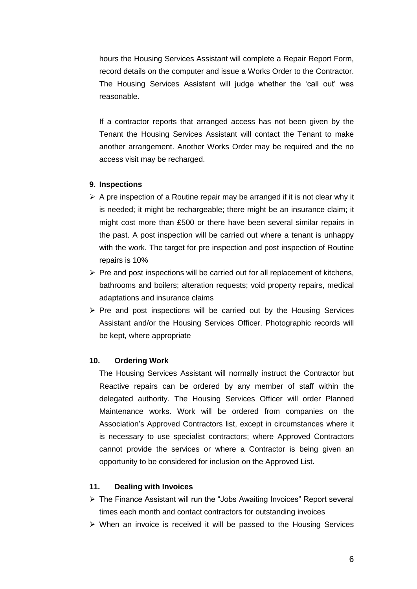hours the Housing Services Assistant will complete a Repair Report Form, record details on the computer and issue a Works Order to the Contractor. The Housing Services Assistant will judge whether the 'call out' was reasonable.

If a contractor reports that arranged access has not been given by the Tenant the Housing Services Assistant will contact the Tenant to make another arrangement. Another Works Order may be required and the no access visit may be recharged.

#### **9. Inspections**

- $\triangleright$  A pre inspection of a Routine repair may be arranged if it is not clear why it is needed; it might be rechargeable; there might be an insurance claim; it might cost more than £500 or there have been several similar repairs in the past. A post inspection will be carried out where a tenant is unhappy with the work. The target for pre inspection and post inspection of Routine repairs is 10%
- $\triangleright$  Pre and post inspections will be carried out for all replacement of kitchens, bathrooms and boilers; alteration requests; void property repairs, medical adaptations and insurance claims
- $\triangleright$  Pre and post inspections will be carried out by the Housing Services Assistant and/or the Housing Services Officer. Photographic records will be kept, where appropriate

#### **10. Ordering Work**

The Housing Services Assistant will normally instruct the Contractor but Reactive repairs can be ordered by any member of staff within the delegated authority. The Housing Services Officer will order Planned Maintenance works. Work will be ordered from companies on the Association's Approved Contractors list, except in circumstances where it is necessary to use specialist contractors; where Approved Contractors cannot provide the services or where a Contractor is being given an opportunity to be considered for inclusion on the Approved List.

### **11. Dealing with Invoices**

- ▶ The Finance Assistant will run the "Jobs Awaiting Invoices" Report several times each month and contact contractors for outstanding invoices
- $\triangleright$  When an invoice is received it will be passed to the Housing Services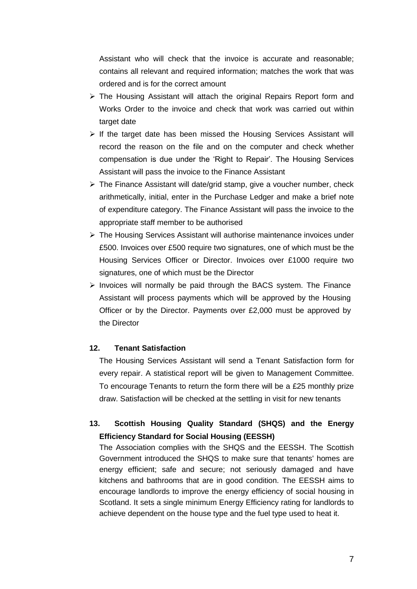Assistant who will check that the invoice is accurate and reasonable; contains all relevant and required information; matches the work that was ordered and is for the correct amount

- $\triangleright$  The Housing Assistant will attach the original Repairs Report form and Works Order to the invoice and check that work was carried out within target date
- $\triangleright$  If the target date has been missed the Housing Services Assistant will record the reason on the file and on the computer and check whether compensation is due under the 'Right to Repair'. The Housing Services Assistant will pass the invoice to the Finance Assistant
- > The Finance Assistant will date/grid stamp, give a voucher number, check arithmetically, initial, enter in the Purchase Ledger and make a brief note of expenditure category. The Finance Assistant will pass the invoice to the appropriate staff member to be authorised
- $\triangleright$  The Housing Services Assistant will authorise maintenance invoices under £500. Invoices over £500 require two signatures, one of which must be the Housing Services Officer or Director. Invoices over £1000 require two signatures, one of which must be the Director
- $\triangleright$  Invoices will normally be paid through the BACS system. The Finance Assistant will process payments which will be approved by the Housing Officer or by the Director. Payments over £2,000 must be approved by the Director

## **12. Tenant Satisfaction**

The Housing Services Assistant will send a Tenant Satisfaction form for every repair. A statistical report will be given to Management Committee. To encourage Tenants to return the form there will be a £25 monthly prize draw. Satisfaction will be checked at the settling in visit for new tenants

# **13. Scottish Housing Quality Standard (SHQS) and the Energy Efficiency Standard for Social Housing (EESSH)**

The Association complies with the SHQS and the EESSH. The Scottish Government introduced the SHQS to make sure that tenants' homes are energy efficient; safe and secure; not seriously damaged and have kitchens and bathrooms that are in good condition. The EESSH aims to encourage landlords to improve the energy efficiency of social housing in Scotland. It sets a single minimum Energy Efficiency rating for landlords to achieve dependent on the house type and the fuel type used to heat it.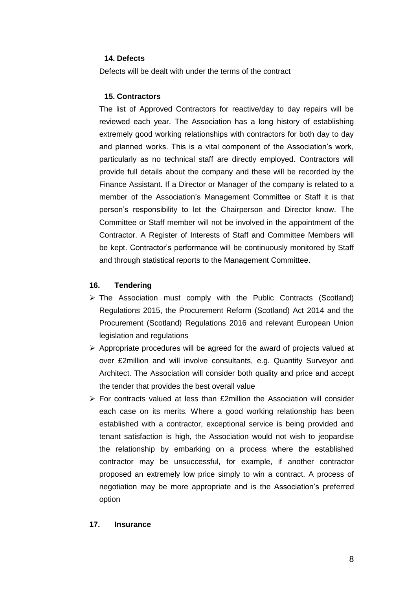## **14. Defects**

Defects will be dealt with under the terms of the contract

### **15. Contractors**

The list of Approved Contractors for reactive/day to day repairs will be reviewed each year. The Association has a long history of establishing extremely good working relationships with contractors for both day to day and planned works. This is a vital component of the Association's work, particularly as no technical staff are directly employed. Contractors will provide full details about the company and these will be recorded by the Finance Assistant. If a Director or Manager of the company is related to a member of the Association's Management Committee or Staff it is that person's responsibility to let the Chairperson and Director know. The Committee or Staff member will not be involved in the appointment of the Contractor. A Register of Interests of Staff and Committee Members will be kept. Contractor's performance will be continuously monitored by Staff and through statistical reports to the Management Committee.

### **16. Tendering**

- $\triangleright$  The Association must comply with the Public Contracts (Scotland) Regulations 2015, the Procurement Reform (Scotland) Act 2014 and the Procurement (Scotland) Regulations 2016 and relevant European Union legislation and regulations
- $\triangleright$  Appropriate procedures will be agreed for the award of projects valued at over £2million and will involve consultants, e.g. Quantity Surveyor and Architect. The Association will consider both quality and price and accept the tender that provides the best overall value
- $\triangleright$  For contracts valued at less than £2million the Association will consider each case on its merits. Where a good working relationship has been established with a contractor, exceptional service is being provided and tenant satisfaction is high, the Association would not wish to jeopardise the relationship by embarking on a process where the established contractor may be unsuccessful, for example, if another contractor proposed an extremely low price simply to win a contract. A process of negotiation may be more appropriate and is the Association's preferred option

#### **17. Insurance**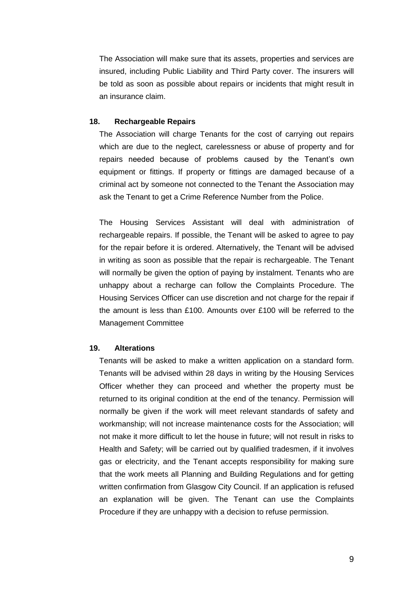The Association will make sure that its assets, properties and services are insured, including Public Liability and Third Party cover. The insurers will be told as soon as possible about repairs or incidents that might result in an insurance claim.

#### **18. Rechargeable Repairs**

The Association will charge Tenants for the cost of carrying out repairs which are due to the neglect, carelessness or abuse of property and for repairs needed because of problems caused by the Tenant's own equipment or fittings. If property or fittings are damaged because of a criminal act by someone not connected to the Tenant the Association may ask the Tenant to get a Crime Reference Number from the Police.

The Housing Services Assistant will deal with administration of rechargeable repairs. If possible, the Tenant will be asked to agree to pay for the repair before it is ordered. Alternatively, the Tenant will be advised in writing as soon as possible that the repair is rechargeable. The Tenant will normally be given the option of paying by instalment. Tenants who are unhappy about a recharge can follow the Complaints Procedure. The Housing Services Officer can use discretion and not charge for the repair if the amount is less than £100. Amounts over £100 will be referred to the Management Committee

## **19. Alterations**

Tenants will be asked to make a written application on a standard form. Tenants will be advised within 28 days in writing by the Housing Services Officer whether they can proceed and whether the property must be returned to its original condition at the end of the tenancy. Permission will normally be given if the work will meet relevant standards of safety and workmanship; will not increase maintenance costs for the Association; will not make it more difficult to let the house in future; will not result in risks to Health and Safety; will be carried out by qualified tradesmen, if it involves gas or electricity, and the Tenant accepts responsibility for making sure that the work meets all Planning and Building Regulations and for getting written confirmation from Glasgow City Council. If an application is refused an explanation will be given. The Tenant can use the Complaints Procedure if they are unhappy with a decision to refuse permission.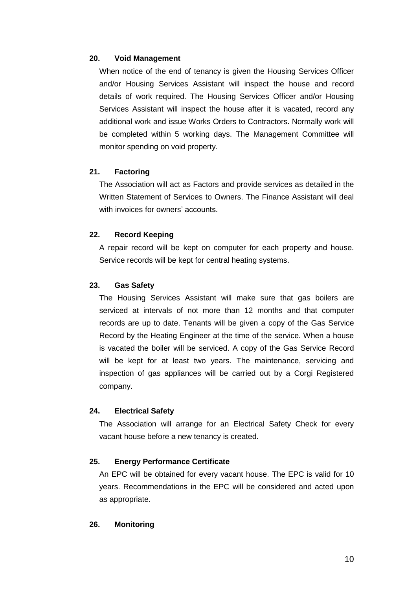### **20. Void Management**

When notice of the end of tenancy is given the Housing Services Officer and/or Housing Services Assistant will inspect the house and record details of work required. The Housing Services Officer and/or Housing Services Assistant will inspect the house after it is vacated, record any additional work and issue Works Orders to Contractors. Normally work will be completed within 5 working days. The Management Committee will monitor spending on void property.

# **21. Factoring**

The Association will act as Factors and provide services as detailed in the Written Statement of Services to Owners. The Finance Assistant will deal with invoices for owners' accounts.

## **22. Record Keeping**

A repair record will be kept on computer for each property and house. Service records will be kept for central heating systems.

### **23. Gas Safety**

The Housing Services Assistant will make sure that gas boilers are serviced at intervals of not more than 12 months and that computer records are up to date. Tenants will be given a copy of the Gas Service Record by the Heating Engineer at the time of the service. When a house is vacated the boiler will be serviced. A copy of the Gas Service Record will be kept for at least two years. The maintenance, servicing and inspection of gas appliances will be carried out by a Corgi Registered company.

#### **24. Electrical Safety**

The Association will arrange for an Electrical Safety Check for every vacant house before a new tenancy is created.

#### **25. Energy Performance Certificate**

An EPC will be obtained for every vacant house. The EPC is valid for 10 years. Recommendations in the EPC will be considered and acted upon as appropriate.

#### **26. Monitoring**